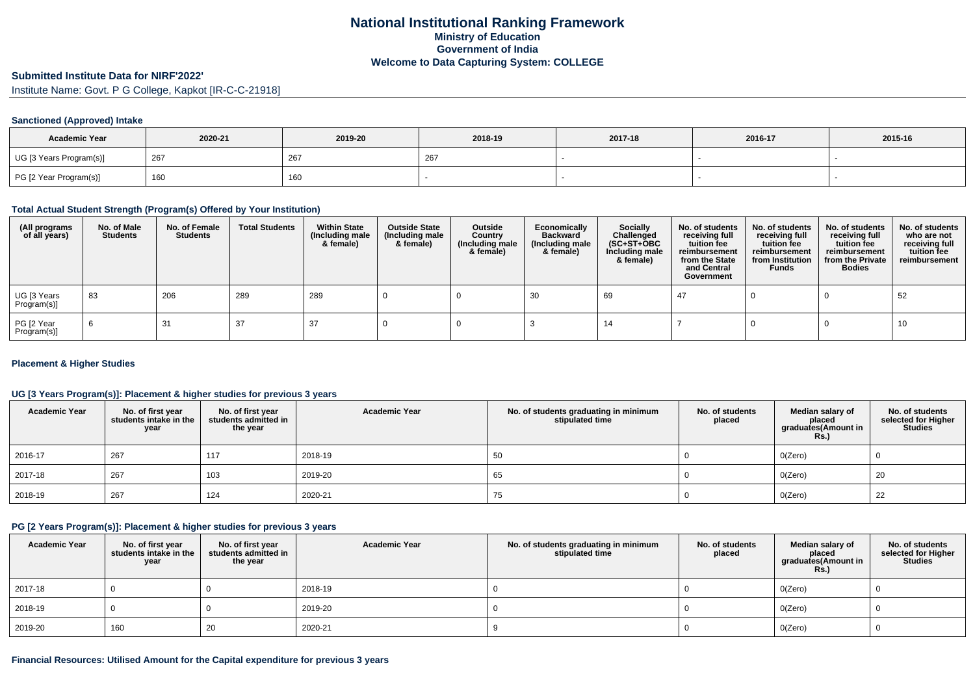### **Submitted Institute Data for NIRF'2022'**

Institute Name: Govt. P G College, Kapkot [IR-C-C-21918]

#### **Sanctioned (Approved) Intake**

| <b>Academic Year</b>    | 2020-21 | 2019-20 | 2018-19       | 2017-18 | 2016-17 | 2015-16 |
|-------------------------|---------|---------|---------------|---------|---------|---------|
| UG [3 Years Program(s)] | 267     | 267     | $\sim$<br>ZO. |         |         |         |
| PG [2 Year Program(s)]  | 160     | 160     |               |         |         |         |

### **Total Actual Student Strength (Program(s) Offered by Your Institution)**

| (All programs<br>of all years) | No. of Male<br><b>Students</b> | No. of Female<br><b>Students</b> | <b>Total Students</b> | <b>Within State</b><br>(Including male<br>& female) | <b>Outside State</b><br>(Including male<br>& female) | Outside<br>Country<br>(Including male<br>& female) | Economically<br><b>Backward</b><br>(Including male<br>& female) | Socially<br>Challenged<br>$(SC+ST+OBC)$<br>Including male<br>& female) | No. of students<br>receiving full<br>tuition fee<br>reimbursement<br>from the State<br>and Central<br>Government | No. of students<br>receiving full<br>tuition fee<br>reimbursement<br>from Institution<br><b>Funds</b> | No. of students<br>receiving full<br>tuition fee<br>reimbursement<br>from the Private<br><b>Bodies</b> | No. of students<br>who are not<br>receiving full<br>tuition fee<br>reimbursement |
|--------------------------------|--------------------------------|----------------------------------|-----------------------|-----------------------------------------------------|------------------------------------------------------|----------------------------------------------------|-----------------------------------------------------------------|------------------------------------------------------------------------|------------------------------------------------------------------------------------------------------------------|-------------------------------------------------------------------------------------------------------|--------------------------------------------------------------------------------------------------------|----------------------------------------------------------------------------------|
| UG [3 Years<br>Program(s)]     | 83                             | 206                              | 289                   | 289                                                 |                                                      |                                                    | 30                                                              | 69                                                                     | -47                                                                                                              |                                                                                                       |                                                                                                        | 52                                                                               |
| PG [2 Year<br>Program(s)]      |                                | 31                               | 37                    | 37                                                  |                                                      |                                                    |                                                                 | 14                                                                     |                                                                                                                  |                                                                                                       |                                                                                                        | 10                                                                               |

#### **Placement & Higher Studies**

## **UG [3 Years Program(s)]: Placement & higher studies for previous 3 years**

| <b>Academic Year</b> | No. of first year<br>students intake in the<br>year | No. of first year<br>students admitted in<br>the year | <b>Academic Year</b> | No. of students graduating in minimum<br>stipulated time | No. of students<br>placed | Median salary of<br>placed<br>graduates(Amount in<br><b>Rs.)</b> | No. of students<br>selected for Higher<br><b>Studies</b> |
|----------------------|-----------------------------------------------------|-------------------------------------------------------|----------------------|----------------------------------------------------------|---------------------------|------------------------------------------------------------------|----------------------------------------------------------|
| 2016-17              | 267                                                 | 117                                                   | 2018-19              | 50                                                       |                           | O(Zero)                                                          |                                                          |
| 2017-18              | 267                                                 | 103                                                   | 2019-20              | 65                                                       |                           | O(Zero)                                                          | 20                                                       |
| 2018-19              | 267                                                 | 124                                                   | 2020-21              | 75                                                       |                           | 0(Zero)                                                          | 22                                                       |

#### **PG [2 Years Program(s)]: Placement & higher studies for previous 3 years**

| <b>Academic Year</b> | No. of first year<br>students intake in the<br>year | No. of first year<br>students admitted in<br>the year | <b>Academic Year</b> | No. of students graduating in minimum<br>stipulated time | No. of students<br>placed | Median salary of<br>placed<br>graduates(Amount in<br><b>Rs.)</b> | No. of students<br>selected for Higher<br><b>Studies</b> |
|----------------------|-----------------------------------------------------|-------------------------------------------------------|----------------------|----------------------------------------------------------|---------------------------|------------------------------------------------------------------|----------------------------------------------------------|
| 2017-18              |                                                     |                                                       | 2018-19              |                                                          |                           | O(Zero)                                                          |                                                          |
| 2018-19              |                                                     |                                                       | 2019-20              |                                                          |                           | O(Zero)                                                          |                                                          |
| 2019-20              | 160                                                 | 20                                                    | 2020-21              |                                                          |                           | O(Zero)                                                          |                                                          |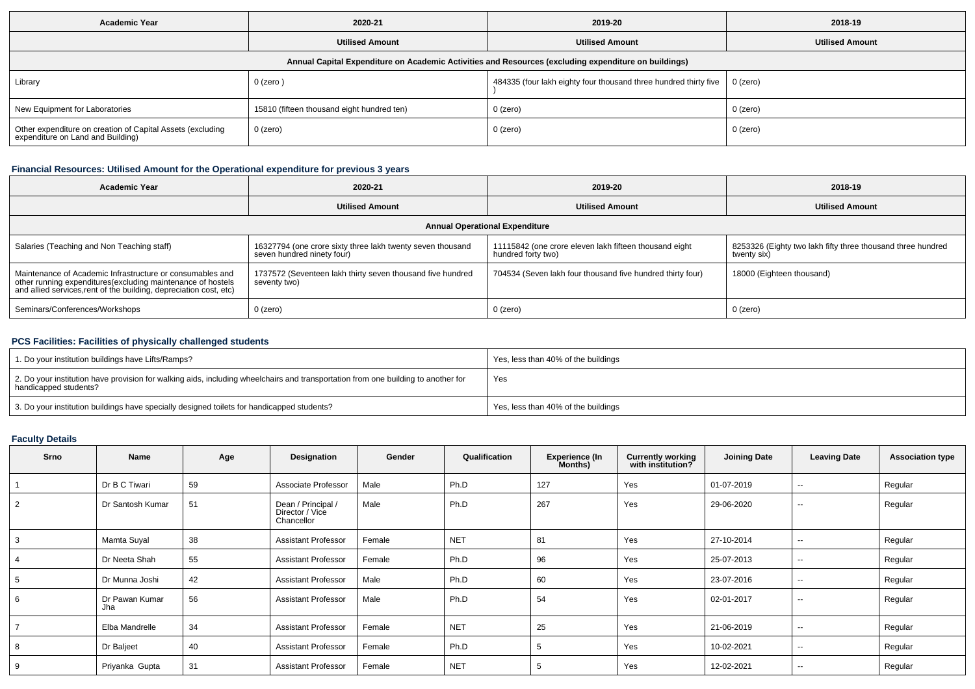| <b>Academic Year</b>                                                                                 | 2020-21                                    | 2019-20                                                                     | 2018-19                |  |  |  |  |  |  |
|------------------------------------------------------------------------------------------------------|--------------------------------------------|-----------------------------------------------------------------------------|------------------------|--|--|--|--|--|--|
|                                                                                                      | <b>Utilised Amount</b>                     | <b>Utilised Amount</b>                                                      | <b>Utilised Amount</b> |  |  |  |  |  |  |
| Annual Capital Expenditure on Academic Activities and Resources (excluding expenditure on buildings) |                                            |                                                                             |                        |  |  |  |  |  |  |
| Library                                                                                              | $0$ (zero)                                 | 484335 (four lakh eighty four thousand three hundred thirty five   0 (zero) |                        |  |  |  |  |  |  |
| New Equipment for Laboratories                                                                       | 15810 (fifteen thousand eight hundred ten) | 0 (zero)                                                                    | 0 (zero)               |  |  |  |  |  |  |
| Other expenditure on creation of Capital Assets (excluding<br>expenditure on Land and Building)      | 0 (zero)                                   | 0 (zero)                                                                    | 0 (zero)               |  |  |  |  |  |  |

# **Financial Resources: Utilised Amount for the Operational expenditure for previous 3 years**

| Academic Year                                                                                                                                                                                   | 2020-21                                                                                  | 2019-20                                                                      | 2018-19                                                                    |  |  |  |  |  |  |
|-------------------------------------------------------------------------------------------------------------------------------------------------------------------------------------------------|------------------------------------------------------------------------------------------|------------------------------------------------------------------------------|----------------------------------------------------------------------------|--|--|--|--|--|--|
|                                                                                                                                                                                                 | <b>Utilised Amount</b>                                                                   | <b>Utilised Amount</b>                                                       | <b>Utilised Amount</b>                                                     |  |  |  |  |  |  |
| <b>Annual Operational Expenditure</b>                                                                                                                                                           |                                                                                          |                                                                              |                                                                            |  |  |  |  |  |  |
| Salaries (Teaching and Non Teaching staff)                                                                                                                                                      | 16327794 (one crore sixty three lakh twenty seven thousand<br>seven hundred ninety four) | 11115842 (one crore eleven lakh fifteen thousand eight<br>hundred forty two) | 8253326 (Eighty two lakh fifty three thousand three hundred<br>twenty six) |  |  |  |  |  |  |
| Maintenance of Academic Infrastructure or consumables and<br>other running expenditures (excluding maintenance of hostels<br>and allied services, rent of the building, depreciation cost, etc) | 1737572 (Seventeen lakh thirty seven thousand five hundred<br>seventy two)               | 704534 (Seven lakh four thousand five hundred thirty four)                   | 18000 (Eighteen thousand)                                                  |  |  |  |  |  |  |
| Seminars/Conferences/Workshops                                                                                                                                                                  | 0 (zero)                                                                                 | $0$ (zero)                                                                   | 0 (zero)                                                                   |  |  |  |  |  |  |

## **PCS Facilities: Facilities of physically challenged students**

| 1. Do your institution buildings have Lifts/Ramps?                                                                                                         | Yes, less than 40% of the buildings |
|------------------------------------------------------------------------------------------------------------------------------------------------------------|-------------------------------------|
| 2. Do your institution have provision for walking aids, including wheelchairs and transportation from one building to another for<br>handicapped students? | Yes                                 |
| 3. Do your institution buildings have specially designed toilets for handicapped students?                                                                 | Yes, less than 40% of the buildings |

# **Faculty Details**

| <b>Srno</b> | Name                  | Age | Designation                                         | Gender | Qualification | <b>Experience (In</b><br>Months) | <b>Currently working</b><br>with institution? | <b>Joining Date</b> | <b>Leaving Date</b>      | <b>Association type</b> |
|-------------|-----------------------|-----|-----------------------------------------------------|--------|---------------|----------------------------------|-----------------------------------------------|---------------------|--------------------------|-------------------------|
|             | Dr B C Tiwari         | 59  | Associate Professor                                 | Male   | Ph.D          | 127                              | Yes                                           | 01-07-2019          | --                       | Regular                 |
| 2           | Dr Santosh Kumar      | 51  | Dean / Principal /<br>Director / Vice<br>Chancellor | Male   | Ph.D          | 267                              | Yes                                           | 29-06-2020          | $\sim$                   | Regular                 |
| 3           | Mamta Suyal           | 38  | <b>Assistant Professor</b>                          | Female | <b>NET</b>    | 81                               | Yes                                           | 27-10-2014          | $\overline{\phantom{a}}$ | Regular                 |
|             | Dr Neeta Shah         | 55  | <b>Assistant Professor</b>                          | Female | Ph.D          | 96                               | Yes                                           | 25-07-2013          | --                       | Regular                 |
| -5          | Dr Munna Joshi        | 42  | <b>Assistant Professor</b>                          | Male   | Ph.D          | 60                               | Yes                                           | 23-07-2016          | --                       | Regular                 |
| 6           | Dr Pawan Kumar<br>Jha | 56  | <b>Assistant Professor</b>                          | Male   | Ph.D          | 54                               | Yes                                           | 02-01-2017          | $\sim$                   | Regular                 |
|             | Elba Mandrelle        | 34  | <b>Assistant Professor</b>                          | Female | <b>NET</b>    | 25                               | Yes                                           | 21-06-2019          | $-$                      | Regular                 |
| 8           | Dr Baljeet            | 40  | <b>Assistant Professor</b>                          | Female | Ph.D          |                                  | Yes                                           | 10-02-2021          | --                       | Regular                 |
| 9           | Priyanka Gupta        | 31  | <b>Assistant Professor</b>                          | Female | <b>NET</b>    |                                  | Yes                                           | 12-02-2021          | --                       | Regular                 |